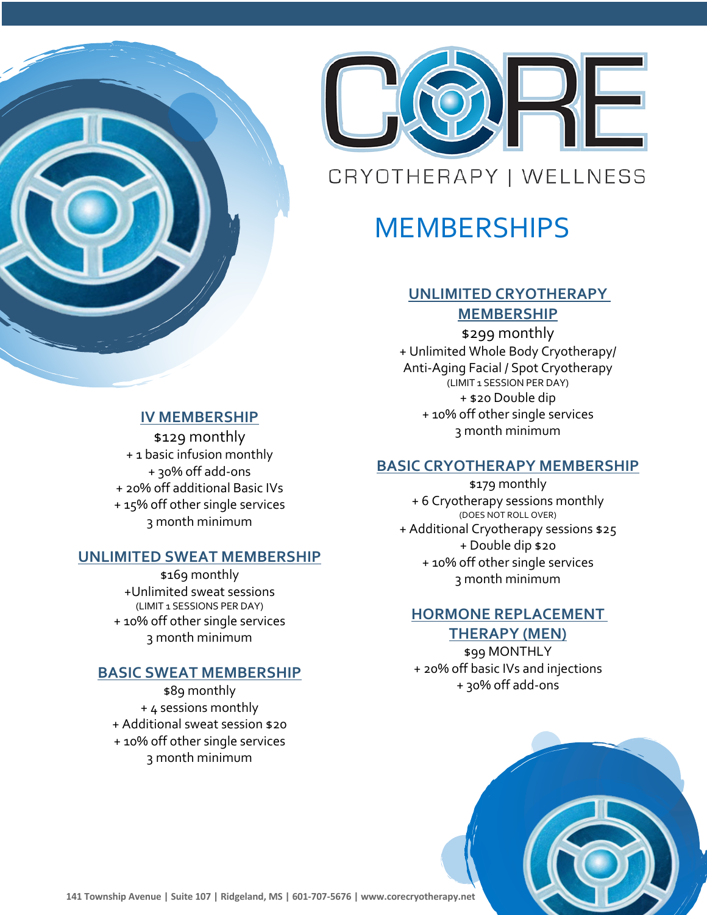

#### **IV MEMBERSHIP**

\$129 monthly + 1 basic infusion monthly + 30% off add-ons + 20% off additional Basic IVs + 15% off other single services 3 month minimum

#### **UNLIMITED SWEAT MEMBERSHIP**

\$169 monthly +Unlimited sweat sessions (LIMIT 1 SESSIONS PER DAY) + 10% off other single services 3 month minimum

# **BASIC SWEAT MEMBERSHIP**

\$89 monthly + 4 sessions monthly + Additional sweat session \$20 + 10% off other single services 3 month minimum



# **MEMBERSHIPS**

# **UNLIMITED CRYOTHERAPY MEMBERSHIP**

\$299 monthly + Unlimited Whole Body Cryotherapy/ Anti-Aging Facial / Spot Cryotherapy (LIMIT 1 SESSION PER DAY) + \$20 Double dip + 10% off other single services 3 month minimum

# **BASIC CRYOTHERAPY MEMBERSHIP**

\$179 monthly + 6 Cryotherapy sessions monthly (DOES NOT ROLL OVER) + Additional Cryotherapy sessions \$25 + Double dip \$20 + 10% off other single services 3 month minimum

# **HORMONE REPLACEMENT THERAPY (MEN)**

\$99 MONTHLY + 20% off basic IVs and injections + 30% off add-ons



**141 Township Avenue | Suite 107 | Ridgeland, MS | 601-707-5676 | www.corecryotherapy.net**